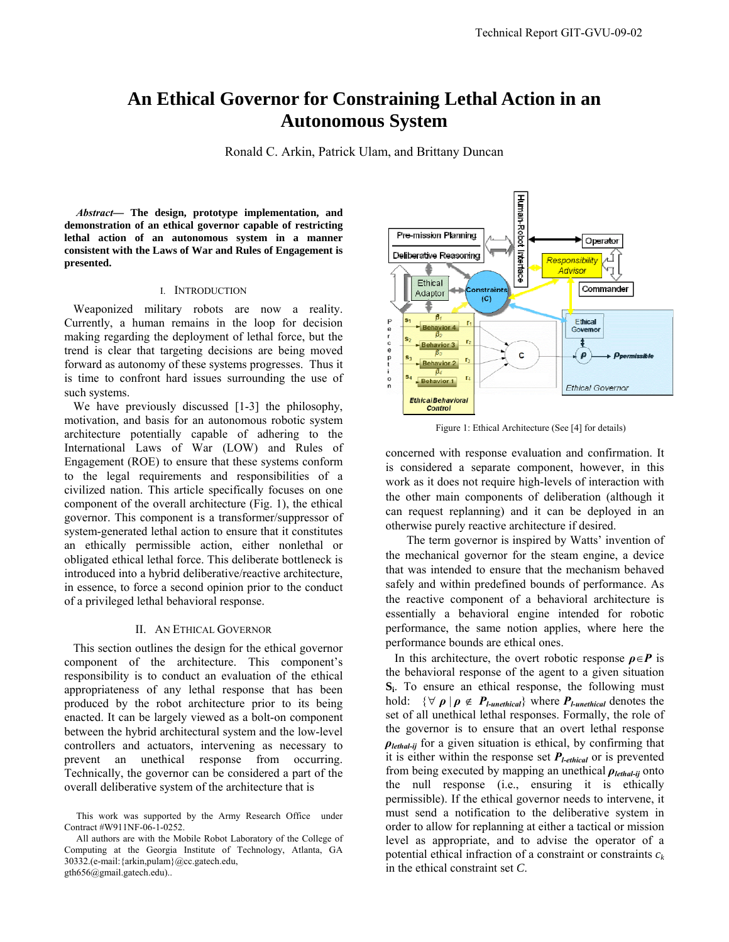# **An Ethical Governor for Constraining Lethal Action in an Autonomous System**

Ronald C. Arkin, Patrick Ulam, and Brittany Duncan

*Abstract***— The design, prototype implementation, and demonstration of an ethical governor capable of restricting lethal action of an autonomous system in a manner consistent with the Laws of War and Rules of Engagement is presented.** 

#### I. INTRODUCTION

 Weaponized military robots are now a reality. Currently, a human remains in the loop for decision making regarding the deployment of lethal force, but the trend is clear that targeting decisions are being moved forward as autonomy of these systems progresses. Thus it is time to confront hard issues surrounding the use of such systems.

We have previously discussed [1-3] the philosophy, motivation, and basis for an autonomous robotic system architecture potentially capable of adhering to the International Laws of War (LOW) and Rules of Engagement (ROE) to ensure that these systems conform to the legal requirements and responsibilities of a civilized nation. This article specifically focuses on one component of the overall architecture (Fig. 1), the ethical governor. This component is a transformer/suppressor of system-generated lethal action to ensure that it constitutes an ethically permissible action, either nonlethal or obligated ethical lethal force. This deliberate bottleneck is introduced into a hybrid deliberative/reactive architecture, in essence, to force a second opinion prior to the conduct of a privileged lethal behavioral response.

## II. AN ETHICAL GOVERNOR

 This section outlines the design for the ethical governor component of the architecture. This component's responsibility is to conduct an evaluation of the ethical appropriateness of any lethal response that has been produced by the robot architecture prior to its being enacted. It can be largely viewed as a bolt-on component between the hybrid architectural system and the low-level controllers and actuators, intervening as necessary to prevent an unethical response from occurring. Technically, the governor can be considered a part of the overall deliberative system of the architecture that is



Figure 1: Ethical Architecture (See [4] for details)

concerned with response evaluation and confirmation. It is considered a separate component, however, in this work as it does not require high-levels of interaction with the other main components of deliberation (although it can request replanning) and it can be deployed in an otherwise purely reactive architecture if desired.

 The term governor is inspired by Watts' invention of the mechanical governor for the steam engine, a device that was intended to ensure that the mechanism behaved safely and within predefined bounds of performance. As the reactive component of a behavioral architecture is essentially a behavioral engine intended for robotic performance, the same notion applies, where here the performance bounds are ethical ones.

In this architecture, the overt robotic response  $\rho \in P$  is the behavioral response of the agent to a given situation **Si**. To ensure an ethical response, the following must hold:  $\{\forall \rho \mid \rho \notin P_{\text{Lunethical}}\}$  where  $P_{\text{Lunethical}}$  denotes the set of all unethical lethal responses. Formally, the role of the governor is to ensure that an overt lethal response *ρlethal-ij* for a given situation is ethical, by confirming that it is either within the response set *Pl-ethical* or is prevented from being executed by mapping an unethical *ρlethal-ij* onto the null response (i.e., ensuring it is ethically permissible). If the ethical governor needs to intervene, it must send a notification to the deliberative system in order to allow for replanning at either a tactical or mission level as appropriate, and to advise the operator of a potential ethical infraction of a constraint or constraints  $c_k$ in the ethical constraint set *C*.

This work was supported by the Army Research Office under Contract #W911NF-06-1-0252.

All authors are with the Mobile Robot Laboratory of the College of Computing at the Georgia Institute of Technology, Atlanta, GA 30332.(e-mail:{arkin,pulam}@cc.gatech.edu, gth656@gmail.gatech.edu)..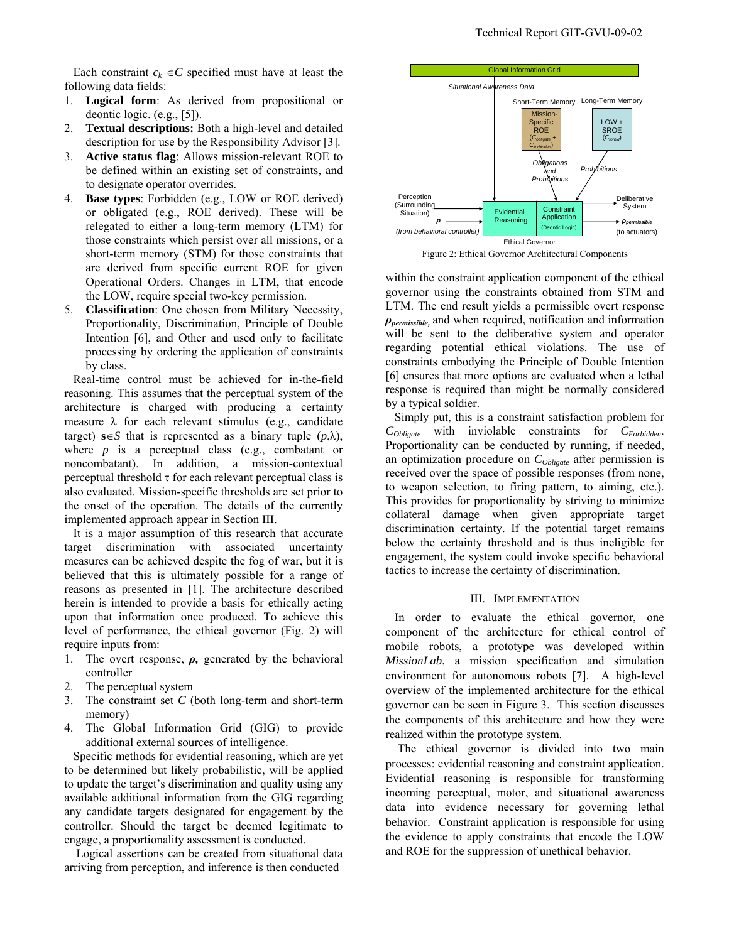Each constraint  $c_k \in C$  specified must have at least the following data fields:

- 1. **Logical form**: As derived from propositional or deontic logic. (e.g., [5]).
- 2. **Textual descriptions:** Both a high-level and detailed description for use by the Responsibility Advisor [3].
- 3. **Active status flag**: Allows mission-relevant ROE to be defined within an existing set of constraints, and to designate operator overrides.
- 4. **Base types**: Forbidden (e.g., LOW or ROE derived) or obligated (e.g., ROE derived). These will be relegated to either a long-term memory (LTM) for those constraints which persist over all missions, or a short-term memory (STM) for those constraints that are derived from specific current ROE for given Operational Orders. Changes in LTM, that encode the LOW, require special two-key permission.
- 5. **Classification**: One chosen from Military Necessity, Proportionality, Discrimination, Principle of Double Intention [6], and Other and used only to facilitate processing by ordering the application of constraints by class.

 Real-time control must be achieved for in-the-field reasoning. This assumes that the perceptual system of the architecture is charged with producing a certainty measure  $\lambda$  for each relevant stimulus (e.g., candidate target) **s**∈*S* that is represented as a binary tuple  $(p, \lambda)$ , where  $p$  is a perceptual class (e.g., combatant or noncombatant). In addition, a mission-contextual perceptual threshold  $\tau$  for each relevant perceptual class is also evaluated. Mission-specific thresholds are set prior to the onset of the operation. The details of the currently implemented approach appear in Section III.

 It is a major assumption of this research that accurate target discrimination with associated uncertainty measures can be achieved despite the fog of war, but it is believed that this is ultimately possible for a range of reasons as presented in [1]. The architecture described herein is intended to provide a basis for ethically acting upon that information once produced. To achieve this level of performance, the ethical governor (Fig. 2) will require inputs from:

- 1. The overt response, *ρ,* generated by the behavioral controller
- 2. The perceptual system
- 3. The constraint set *C* (both long-term and short-term memory)
- 4. The Global Information Grid (GIG) to provide additional external sources of intelligence.

 Specific methods for evidential reasoning, which are yet to be determined but likely probabilistic, will be applied to update the target's discrimination and quality using any available additional information from the GIG regarding any candidate targets designated for engagement by the controller. Should the target be deemed legitimate to engage, a proportionality assessment is conducted.

 Logical assertions can be created from situational data arriving from perception, and inference is then conducted



Figure 2: Ethical Governor Architectural Components

within the constraint application component of the ethical governor using the constraints obtained from STM and LTM. The end result yields a permissible overt response *ρpermissible,* and when required, notification and information will be sent to the deliberative system and operator regarding potential ethical violations. The use of constraints embodying the Principle of Double Intention [6] ensures that more options are evaluated when a lethal response is required than might be normally considered by a typical soldier.

 Simply put, this is a constraint satisfaction problem for *CObligate* with inviolable constraints for *CForbidden*. Proportionality can be conducted by running, if needed, an optimization procedure on *CObligate* after permission is received over the space of possible responses (from none, to weapon selection, to firing pattern, to aiming, etc.). This provides for proportionality by striving to minimize collateral damage when given appropriate target discrimination certainty. If the potential target remains below the certainty threshold and is thus ineligible for engagement, the system could invoke specific behavioral tactics to increase the certainty of discrimination.

#### III. IMPLEMENTATION

 In order to evaluate the ethical governor, one component of the architecture for ethical control of mobile robots, a prototype was developed within *MissionLab*, a mission specification and simulation environment for autonomous robots [7]. A high-level overview of the implemented architecture for the ethical governor can be seen in Figure 3. This section discusses the components of this architecture and how they were realized within the prototype system.

 The ethical governor is divided into two main processes: evidential reasoning and constraint application. Evidential reasoning is responsible for transforming incoming perceptual, motor, and situational awareness data into evidence necessary for governing lethal behavior. Constraint application is responsible for using the evidence to apply constraints that encode the LOW and ROE for the suppression of unethical behavior.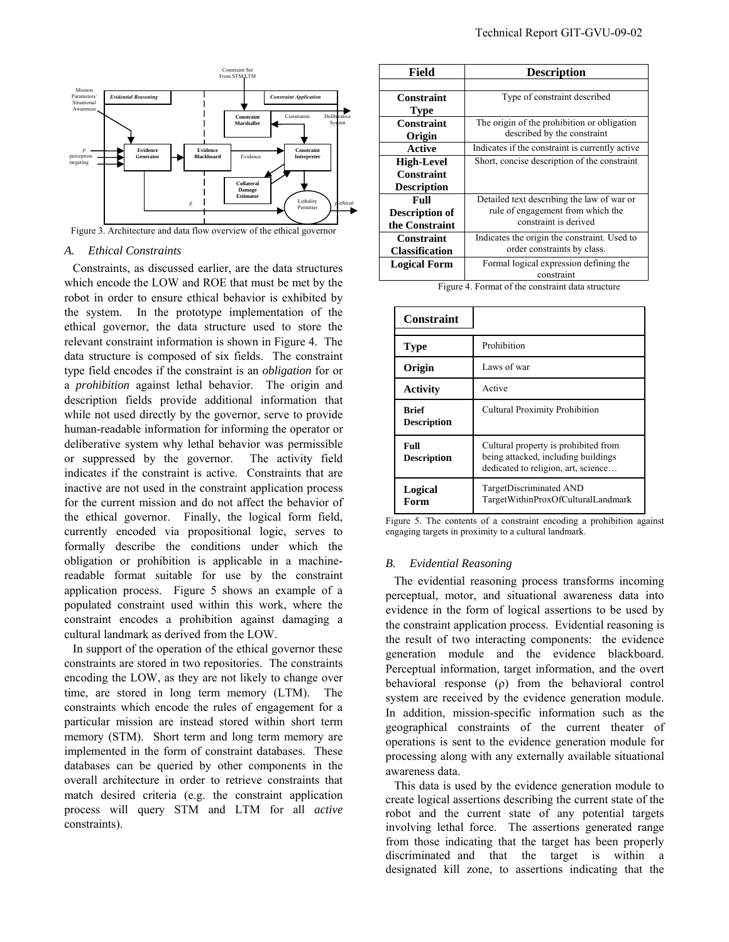

#### *A. Ethical Constraints*

Constraints, as discussed earlier, are the data structures which encode the LOW and ROE that must be met by the robot in order to ensure ethical behavior is exhibited by the system. In the prototype implementation of the ethical governor, the data structure used to store the relevant constraint information is shown in Figure 4. The data structure is composed of six fields. The constraint type field encodes if the constraint is an *obligation* for or a *prohibition* against lethal behavior. The origin and description fields provide additional information that while not used directly by the governor, serve to provide human-readable information for informing the operator or deliberative system why lethal behavior was permissible or suppressed by the governor. The activity field indicates if the constraint is active. Constraints that are inactive are not used in the constraint application process for the current mission and do not affect the behavior of the ethical governor. Finally, the logical form field, currently encoded via propositional logic, serves to formally describe the conditions under which the obligation or prohibition is applicable in a machinereadable format suitable for use by the constraint application process. Figure 5 shows an example of a populated constraint used within this work, where the constraint encodes a prohibition against damaging a cultural landmark as derived from the LOW.

In support of the operation of the ethical governor these constraints are stored in two repositories. The constraints encoding the LOW, as they are not likely to change over time, are stored in long term memory (LTM). The constraints which encode the rules of engagement for a particular mission are instead stored within short term memory (STM). Short term and long term memory are implemented in the form of constraint databases. These databases can be queried by other components in the overall architecture in order to retrieve constraints that match desired criteria (e.g. the constraint application process will query STM and LTM for all *active*  constraints).

| Field                 | <b>Description</b>                              |  |
|-----------------------|-------------------------------------------------|--|
|                       |                                                 |  |
| Constraint            | Type of constraint described                    |  |
| <b>Type</b>           |                                                 |  |
| Constraint            | The origin of the prohibition or obligation     |  |
| Origin                | described by the constraint                     |  |
| Active                | Indicates if the constraint is currently active |  |
| <b>High-Level</b>     | Short, concise description of the constraint    |  |
| Constraint            |                                                 |  |
| <b>Description</b>    |                                                 |  |
| Full                  | Detailed text describing the law of war or      |  |
| <b>Description of</b> | rule of engagement from which the               |  |
| the Constraint        | constraint is derived                           |  |
| Constraint            | Indicates the origin the constraint. Used to    |  |
| <b>Classification</b> | order constraints by class.                     |  |
| <b>Logical Form</b>   | Formal logical expression defining the          |  |
|                       | constraint                                      |  |

Figure 4. Format of the constraint data structure

| <b>Constraint</b>                  |                                                                                                                    |
|------------------------------------|--------------------------------------------------------------------------------------------------------------------|
| Type                               | Prohibition                                                                                                        |
| Origin                             | Laws of war                                                                                                        |
| Activity                           | Active                                                                                                             |
| <b>Rrief</b><br><b>Description</b> | <b>Cultural Proximity Prohibition</b>                                                                              |
| Full<br><b>Description</b>         | Cultural property is prohibited from<br>being attacked, including buildings<br>dedicated to religion, art, science |
| Logical<br>Form                    | TargetDiscriminated AND<br>TargetWithinProxOfCulturalLandmark                                                      |

Figure 5. The contents of a constraint encoding a prohibition against engaging targets in proximity to a cultural landmark.

#### *B. Evidential Reasoning*

The evidential reasoning process transforms incoming perceptual, motor, and situational awareness data into evidence in the form of logical assertions to be used by the constraint application process. Evidential reasoning is the result of two interacting components: the evidence generation module and the evidence blackboard. Perceptual information, target information, and the overt behavioral response (ρ) from the behavioral control system are received by the evidence generation module. In addition, mission-specific information such as the geographical constraints of the current theater of operations is sent to the evidence generation module for processing along with any externally available situational awareness data.

This data is used by the evidence generation module to create logical assertions describing the current state of the robot and the current state of any potential targets involving lethal force. The assertions generated range from those indicating that the target has been properly discriminated and that the target is within a designated kill zone, to assertions indicating that the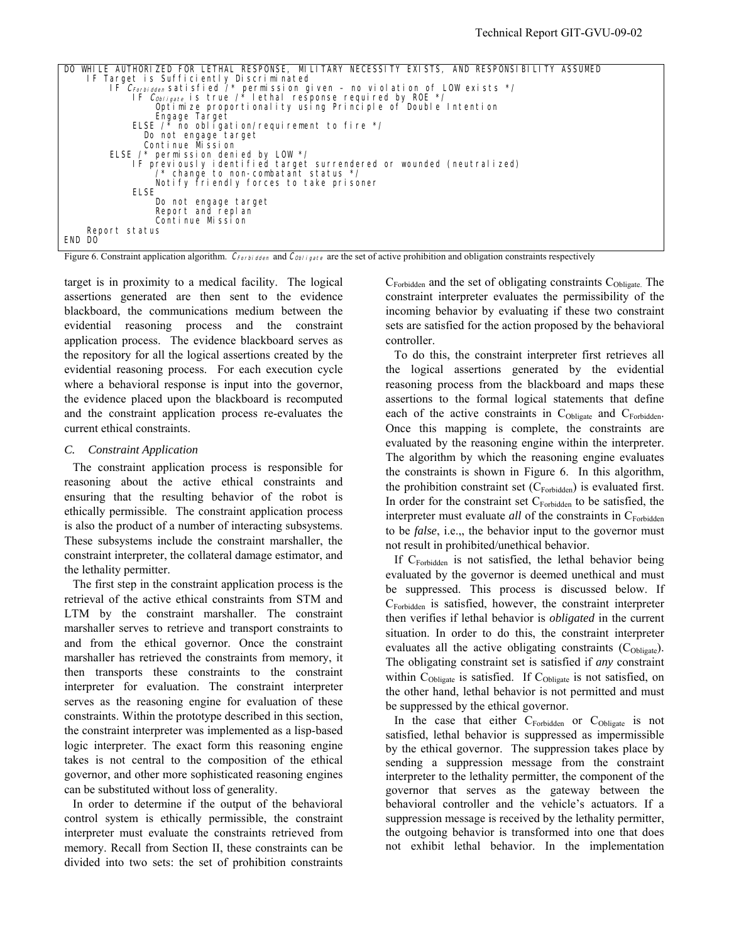| DO WHILE AUTHORIZED FOR LETHAL RESPONSE, MILITARY NECESSITY EXISTS, AND RESPONSIBILITY<br>ASSUMED |
|---------------------------------------------------------------------------------------------------|
| IF Target is Sufficiently Discriminated                                                           |
| IF CForbidden satisfied /* permission given - no violation of LOW exists */                       |
| IF Copigate is true /* lethal response required by ROE */                                         |
| Optimize proportionality using Principle of Double Intention                                      |
| Engage Target                                                                                     |
| ELSE $\prime$ * no obligation/requirement to fire $\prime$ /                                      |
| Do not engage target                                                                              |
| Continue Mission                                                                                  |
| ELSE $\prime$ * permission denied by LOW */                                                       |
| IF previously identified target surrendered or wounded (neutralized)                              |
| $\prime$ * change to non-combatant status */                                                      |
| Notify friendly forces to take prisoner                                                           |
| <b>ELSE</b>                                                                                       |
| Do not engage target                                                                              |
| Report and replan                                                                                 |
| Continue Mission                                                                                  |
| Report status                                                                                     |
| END DO                                                                                            |
|                                                                                                   |

Figure 6. Constraint application algorithm. CForbidden and Cobligate are the set of active prohibition and obligation constraints respectively

target is in proximity to a medical facility. The logical assertions generated are then sent to the evidence blackboard, the communications medium between the evidential reasoning process and the constraint application process. The evidence blackboard serves as the repository for all the logical assertions created by the evidential reasoning process. For each execution cycle where a behavioral response is input into the governor, the evidence placed upon the blackboard is recomputed and the constraint application process re-evaluates the current ethical constraints.

# *C. Constraint Application*

The constraint application process is responsible for reasoning about the active ethical constraints and ensuring that the resulting behavior of the robot is ethically permissible. The constraint application process is also the product of a number of interacting subsystems. These subsystems include the constraint marshaller, the constraint interpreter, the collateral damage estimator, and the lethality permitter.

The first step in the constraint application process is the retrieval of the active ethical constraints from STM and LTM by the constraint marshaller. The constraint marshaller serves to retrieve and transport constraints to and from the ethical governor. Once the constraint marshaller has retrieved the constraints from memory, it then transports these constraints to the constraint interpreter for evaluation. The constraint interpreter serves as the reasoning engine for evaluation of these constraints. Within the prototype described in this section, the constraint interpreter was implemented as a lisp-based logic interpreter. The exact form this reasoning engine takes is not central to the composition of the ethical governor, and other more sophisticated reasoning engines can be substituted without loss of generality.

In order to determine if the output of the behavioral control system is ethically permissible, the constraint interpreter must evaluate the constraints retrieved from memory. Recall from Section II, these constraints can be divided into two sets: the set of prohibition constraints

 $C_{\text{Forbidden}}$  and the set of obligating constraints  $C_{\text{Obligate}}$ . The constraint interpreter evaluates the permissibility of the incoming behavior by evaluating if these two constraint sets are satisfied for the action proposed by the behavioral controller.

To do this, the constraint interpreter first retrieves all the logical assertions generated by the evidential reasoning process from the blackboard and maps these assertions to the formal logical statements that define each of the active constraints in  $C_{Oblicate}$  and  $C_{Forbidden}$ . Once this mapping is complete, the constraints are evaluated by the reasoning engine within the interpreter. The algorithm by which the reasoning engine evaluates the constraints is shown in Figure 6. In this algorithm, the prohibition constraint set  $(C_{\text{Forbidden}})$  is evaluated first. In order for the constraint set  $C_{\text{Forbidden}}$  to be satisfied, the interpreter must evaluate *all* of the constraints in C<sub>Forbidden</sub> to be *false*, i.e.,, the behavior input to the governor must not result in prohibited/unethical behavior.

If C<sub>Forbidden</sub> is not satisfied, the lethal behavior being evaluated by the governor is deemed unethical and must be suppressed. This process is discussed below. If  $C_{\text{Forbidden}}$  is satisfied, however, the constraint interpreter then verifies if lethal behavior is *obligated* in the current situation. In order to do this, the constraint interpreter evaluates all the active obligating constraints  $(C_{\text{Obligate}})$ . The obligating constraint set is satisfied if *any* constraint within  $C_{\text{Obligate}}$  is satisfied. If  $C_{\text{Obligate}}$  is not satisfied, on the other hand, lethal behavior is not permitted and must be suppressed by the ethical governor.

In the case that either  $C_{\text{Forbidden}}$  or  $C_{\text{Oblique}}$  is not satisfied, lethal behavior is suppressed as impermissible by the ethical governor. The suppression takes place by sending a suppression message from the constraint interpreter to the lethality permitter, the component of the governor that serves as the gateway between the behavioral controller and the vehicle's actuators. If a suppression message is received by the lethality permitter, the outgoing behavior is transformed into one that does not exhibit lethal behavior. In the implementation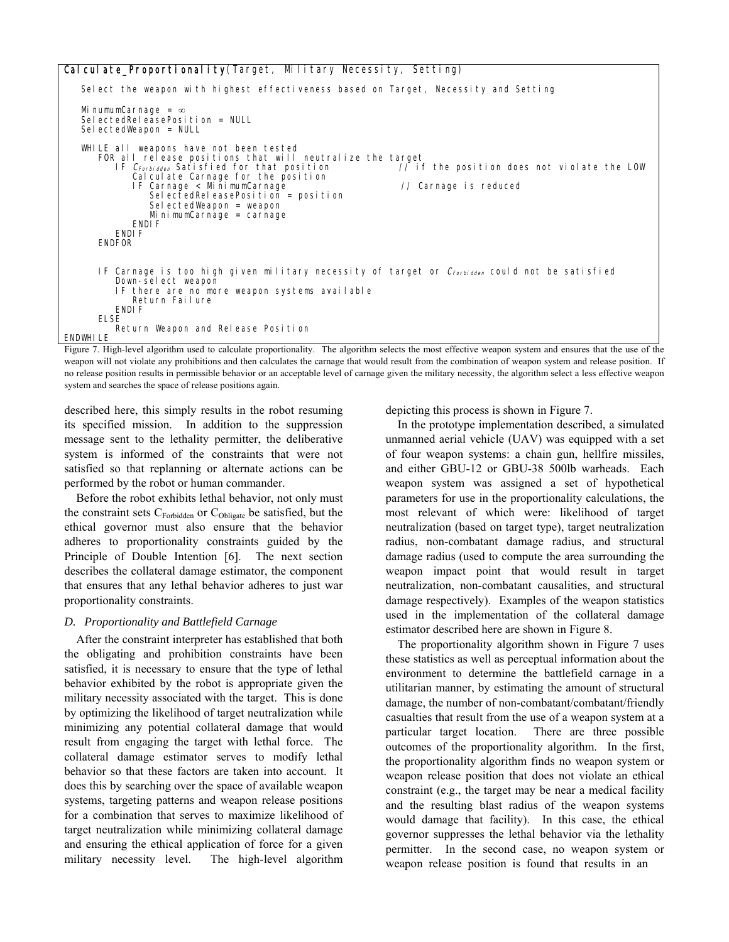# Calculate\_Proportionality(Target, Military Necessity, Setting)

 Select the weapon with highest effectiveness based on Target, Necessity and Setting MinumumCarnage = ∞ Sel ectedRel easePosi ti on = NULL SelectedWeapon = NULL WHILE all weapons have not been tested FOR all release positions that will neutralize the target<br>IF C<sub>Forbidden</sub> Satisfied for that position // if the position does not violate the LOW Calculate Carnage for the position IF Carnage < MinimumCarnage // Carnage is reduced SelectedReleasePosition = position SelectedWeapon = weapon MinimumCarnage = carnage ENDIF ENDI F ENDFOR IF Carnage is too high given military necessity of target or  $C_{Forbidden}$  could not be satisfied Down-select weapon IF there are no more weapon systems available Return Failure ENDI<sub>F</sub> ELSE Return Weapon and Release Position ENDWHI LE Figure 7. High-level algorithm used to calculate proportionality. The algorithm selects the most effective weapon system and ensures that the use of the

weapon will not violate any prohibitions and then calculates the carnage that would result from the combination of weapon system and release position. If no release position results in permissible behavior or an acceptable level of carnage given the military necessity, the algorithm select a less effective weapon system and searches the space of release positions again.

described here, this simply results in the robot resuming its specified mission. In addition to the suppression message sent to the lethality permitter, the deliberative system is informed of the constraints that were not satisfied so that replanning or alternate actions can be performed by the robot or human commander.

 Before the robot exhibits lethal behavior, not only must the constraint sets  $C_{\text{Forbidden}}$  or  $C_{\text{Obligate}}$  be satisfied, but the ethical governor must also ensure that the behavior adheres to proportionality constraints guided by the Principle of Double Intention [6]. The next section describes the collateral damage estimator, the component that ensures that any lethal behavior adheres to just war proportionality constraints.

# *D. Proportionality and Battlefield Carnage*

After the constraint interpreter has established that both the obligating and prohibition constraints have been satisfied, it is necessary to ensure that the type of lethal behavior exhibited by the robot is appropriate given the military necessity associated with the target. This is done by optimizing the likelihood of target neutralization while minimizing any potential collateral damage that would result from engaging the target with lethal force. The collateral damage estimator serves to modify lethal behavior so that these factors are taken into account. It does this by searching over the space of available weapon systems, targeting patterns and weapon release positions for a combination that serves to maximize likelihood of target neutralization while minimizing collateral damage and ensuring the ethical application of force for a given military necessity level. The high-level algorithm depicting this process is shown in Figure 7.

In the prototype implementation described, a simulated unmanned aerial vehicle (UAV) was equipped with a set of four weapon systems: a chain gun, hellfire missiles, and either GBU-12 or GBU-38 500lb warheads. Each weapon system was assigned a set of hypothetical parameters for use in the proportionality calculations, the most relevant of which were: likelihood of target neutralization (based on target type), target neutralization radius, non-combatant damage radius, and structural damage radius (used to compute the area surrounding the weapon impact point that would result in target neutralization, non-combatant causalities, and structural damage respectively). Examples of the weapon statistics used in the implementation of the collateral damage estimator described here are shown in Figure 8.

 The proportionality algorithm shown in Figure 7 uses these statistics as well as perceptual information about the environment to determine the battlefield carnage in a utilitarian manner, by estimating the amount of structural damage, the number of non-combatant/combatant/friendly casualties that result from the use of a weapon system at a particular target location. There are three possible outcomes of the proportionality algorithm. In the first, the proportionality algorithm finds no weapon system or weapon release position that does not violate an ethical constraint (e.g., the target may be near a medical facility and the resulting blast radius of the weapon systems would damage that facility). In this case, the ethical governor suppresses the lethal behavior via the lethality permitter. In the second case, no weapon system or weapon release position is found that results in an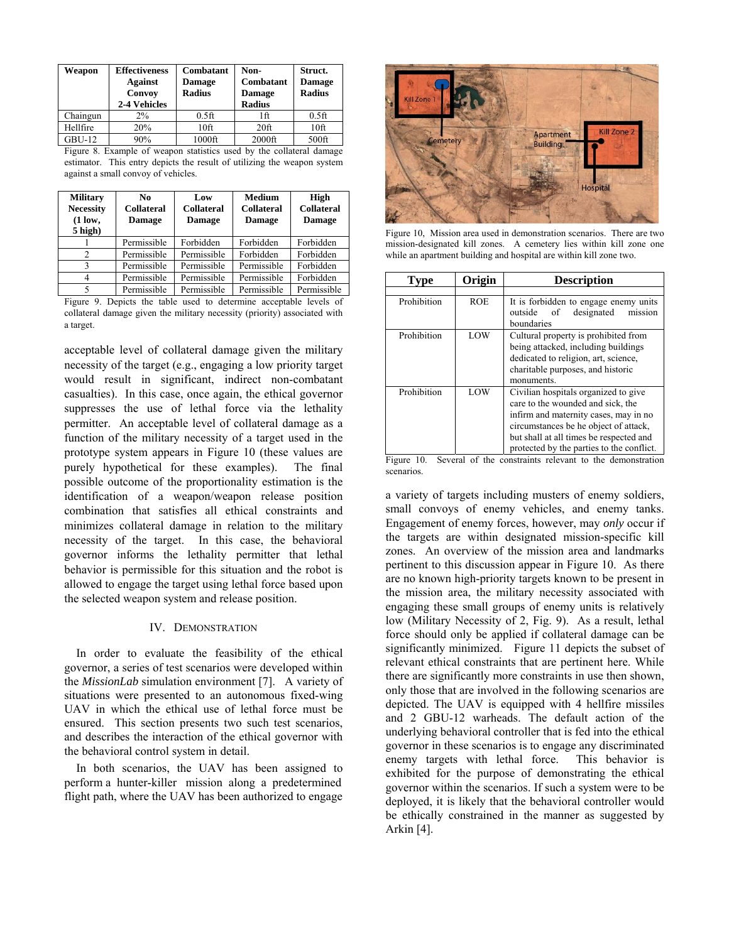| Weapon   | <b>Effectiveness</b><br><b>Against</b><br>Convoy<br>2-4 Vehicles | Combatant<br><b>Damage</b><br><b>Radius</b> | Non-<br>Combatant<br><b>Damage</b><br><b>Radius</b> | Struct.<br><b>Damage</b><br><b>Radius</b> |
|----------|------------------------------------------------------------------|---------------------------------------------|-----------------------------------------------------|-------------------------------------------|
| Chaingun | $2\%$                                                            | $0.5$ ft                                    | 1ft                                                 | $0.5$ ft                                  |
| Hellfire | 20%                                                              | 10 <sup>ft</sup>                            | 20 <sup>ft</sup>                                    | 10 <sup>ft</sup>                          |
| $GBU-12$ | 90%                                                              | $1000$ ft                                   | $2000$ ft                                           | 500ft                                     |

Figure 8. Example of weapon statistics used by the collateral damage estimator. This entry depicts the result of utilizing the weapon system against a small convoy of vehicles.

| <b>Military</b><br><b>Necessity</b><br>$(1 \text{ low},$<br>5 high) | No<br><b>Collateral</b><br>Damage | Low<br><b>Collateral</b><br><b>Damage</b> | <b>Medium</b><br><b>Collateral</b><br><b>Damage</b> | High<br><b>Collateral</b><br><b>Damage</b> |
|---------------------------------------------------------------------|-----------------------------------|-------------------------------------------|-----------------------------------------------------|--------------------------------------------|
|                                                                     | Permissible                       | Forbidden                                 | Forbidden                                           | Forbidden                                  |
|                                                                     | Permissible                       | Permissible                               | Forbidden                                           | Forbidden                                  |
| ς                                                                   | Permissible                       | Permissible                               | Permissible                                         | Forbidden                                  |
| 4                                                                   | Permissible                       | Permissible                               | Permissible                                         | Forbidden                                  |
|                                                                     | Permissible                       | Permissible                               | Permissible                                         | Permissible                                |

Figure 9. Depicts the table used to determine acceptable levels of collateral damage given the military necessity (priority) associated with a target.

acceptable level of collateral damage given the military necessity of the target (e.g., engaging a low priority target would result in significant, indirect non-combatant casualties). In this case, once again, the ethical governor suppresses the use of lethal force via the lethality permitter. An acceptable level of collateral damage as a function of the military necessity of a target used in the prototype system appears in Figure 10 (these values are purely hypothetical for these examples). The final possible outcome of the proportionality estimation is the identification of a weapon/weapon release position combination that satisfies all ethical constraints and minimizes collateral damage in relation to the military necessity of the target. In this case, the behavioral governor informs the lethality permitter that lethal behavior is permissible for this situation and the robot is allowed to engage the target using lethal force based upon the selected weapon system and release position.

## IV. DEMONSTRATION

In order to evaluate the feasibility of the ethical governor, a series of test scenarios were developed within the *MissionLab* simulation environment [7]. A variety of situations were presented to an autonomous fixed-wing UAV in which the ethical use of lethal force must be ensured. This section presents two such test scenarios, and describes the interaction of the ethical governor with the behavioral control system in detail.

 In both scenarios, the UAV has been assigned to perform a hunter-killer mission along a predetermined flight path, where the UAV has been authorized to engage



Figure 10, Mission area used in demonstration scenarios. There are two mission-designated kill zones. A cemetery lies within kill zone one while an apartment building and hospital are within kill zone two.

| Type        | Origin     | <b>Description</b>                                                                                                                                                                                                                                  |
|-------------|------------|-----------------------------------------------------------------------------------------------------------------------------------------------------------------------------------------------------------------------------------------------------|
|             |            |                                                                                                                                                                                                                                                     |
| Prohibition | <b>ROE</b> | It is forbidden to engage enemy units<br>designated<br>outside of<br>mission<br>boundaries                                                                                                                                                          |
| Prohibition | LOW        | Cultural property is prohibited from<br>being attacked, including buildings<br>dedicated to religion, art, science,<br>charitable purposes, and historic<br>monuments.                                                                              |
| Prohibition | LOW        | Civilian hospitals organized to give<br>care to the wounded and sick, the<br>infirm and maternity cases, may in no<br>circumstances be he object of attack,<br>but shall at all times be respected and<br>protected by the parties to the conflict. |

Figure 10. Several of the constraints relevant to the demonstration scenarios.

a variety of targets including musters of enemy soldiers, small convoys of enemy vehicles, and enemy tanks. Engagement of enemy forces, however, may *only* occur if the targets are within designated mission-specific kill zones. An overview of the mission area and landmarks pertinent to this discussion appear in Figure 10. As there are no known high-priority targets known to be present in the mission area, the military necessity associated with engaging these small groups of enemy units is relatively low (Military Necessity of 2, Fig. 9). As a result, lethal force should only be applied if collateral damage can be significantly minimized. Figure 11 depicts the subset of relevant ethical constraints that are pertinent here. While there are significantly more constraints in use then shown, only those that are involved in the following scenarios are depicted. The UAV is equipped with 4 hellfire missiles and 2 GBU-12 warheads. The default action of the underlying behavioral controller that is fed into the ethical governor in these scenarios is to engage any discriminated enemy targets with lethal force. This behavior is exhibited for the purpose of demonstrating the ethical governor within the scenarios. If such a system were to be deployed, it is likely that the behavioral controller would be ethically constrained in the manner as suggested by Arkin [4].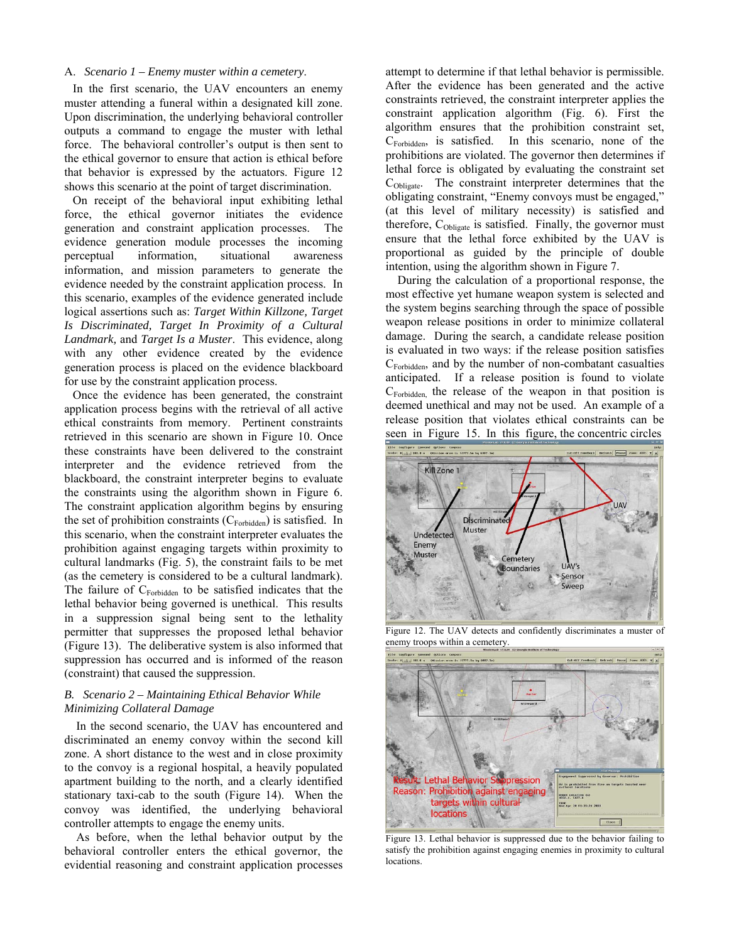## A. *Scenario 1 – Enemy muster within a cemetery*.

In the first scenario, the UAV encounters an enemy muster attending a funeral within a designated kill zone. Upon discrimination, the underlying behavioral controller outputs a command to engage the muster with lethal force. The behavioral controller's output is then sent to the ethical governor to ensure that action is ethical before that behavior is expressed by the actuators. Figure 12 shows this scenario at the point of target discrimination.

On receipt of the behavioral input exhibiting lethal force, the ethical governor initiates the evidence generation and constraint application processes. The evidence generation module processes the incoming perceptual information, situational awareness information, and mission parameters to generate the evidence needed by the constraint application process. In this scenario, examples of the evidence generated include logical assertions such as: *Target Within Killzone, Target Is Discriminated, Target In Proximity of a Cultural Landmark,* and *Target Is a Muster*. This evidence, along with any other evidence created by the evidence generation process is placed on the evidence blackboard for use by the constraint application process.

Once the evidence has been generated, the constraint application process begins with the retrieval of all active ethical constraints from memory. Pertinent constraints retrieved in this scenario are shown in Figure 10. Once these constraints have been delivered to the constraint interpreter and the evidence retrieved from the blackboard, the constraint interpreter begins to evaluate the constraints using the algorithm shown in Figure 6. The constraint application algorithm begins by ensuring the set of prohibition constraints  $(C_{\text{Forbidden}})$  is satisfied. In this scenario, when the constraint interpreter evaluates the prohibition against engaging targets within proximity to cultural landmarks (Fig. 5), the constraint fails to be met (as the cemetery is considered to be a cultural landmark). The failure of  $C_{\text{Forhidden}}$  to be satisfied indicates that the lethal behavior being governed is unethical. This results in a suppression signal being sent to the lethality permitter that suppresses the proposed lethal behavior (Figure 13). The deliberative system is also informed that suppression has occurred and is informed of the reason (constraint) that caused the suppression.

# *B. Scenario 2 – Maintaining Ethical Behavior While Minimizing Collateral Damage*

In the second scenario, the UAV has encountered and discriminated an enemy convoy within the second kill zone. A short distance to the west and in close proximity to the convoy is a regional hospital, a heavily populated apartment building to the north, and a clearly identified stationary taxi-cab to the south (Figure 14). When the convoy was identified, the underlying behavioral controller attempts to engage the enemy units.

As before, when the lethal behavior output by the behavioral controller enters the ethical governor, the evidential reasoning and constraint application processes

attempt to determine if that lethal behavior is permissible. After the evidence has been generated and the active constraints retrieved, the constraint interpreter applies the constraint application algorithm (Fig. 6). First the algorithm ensures that the prohibition constraint set, CForbidden, is satisfied. In this scenario, none of the prohibitions are violated. The governor then determines if lethal force is obligated by evaluating the constraint set CObligate. The constraint interpreter determines that the obligating constraint, "Enemy convoys must be engaged," (at this level of military necessity) is satisfied and therefore, C<sub>Obligate</sub> is satisfied. Finally, the governor must ensure that the lethal force exhibited by the UAV is proportional as guided by the principle of double intention, using the algorithm shown in Figure 7.

During the calculation of a proportional response, the most effective yet humane weapon system is selected and the system begins searching through the space of possible weapon release positions in order to minimize collateral damage. During the search, a candidate release position is evaluated in two ways: if the release position satisfies  $C_{\text{Forbidden}}$ , and by the number of non-combatant casualties anticipated. If a release position is found to violate  $C_{\text{Forbidden}}$  the release of the weapon in that position is deemed unethical and may not be used. An example of a release position that violates ethical constraints can be seen in Figure 15. In this figure, the concentric circles



Figure 12. The UAV detects and confidently discriminates a muster of enemy troops within a cemetery.



Figure 13. Lethal behavior is suppressed due to the behavior failing to satisfy the prohibition against engaging enemies in proximity to cultural **locations**